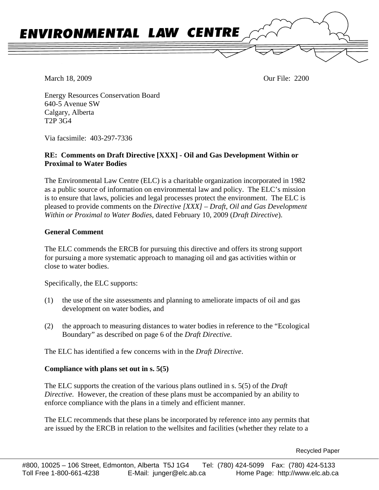

March 18, 2009 Our File: 2200

Energy Resources Conservation Board 640-5 Avenue SW Calgary, Alberta T2P 3G4

Via facsimile: 403-297-7336

### **RE: Comments on Draft Directive [XXX] - Oil and Gas Development Within or Proximal to Water Bodies**

The Environmental Law Centre (ELC) is a charitable organization incorporated in 1982 as a public source of information on environmental law and policy. The ELC's mission is to ensure that laws, policies and legal processes protect the environment. The ELC is pleased to provide comments on the *Directive [XXX] – Draft, Oil and Gas Development Within or Proximal to Water Bodies*, dated February 10, 2009 (*Draft Directive*).

### **General Comment**

The ELC commends the ERCB for pursuing this directive and offers its strong support for pursuing a more systematic approach to managing oil and gas activities within or close to water bodies.

Specifically, the ELC supports:

- (1) the use of the site assessments and planning to ameliorate impacts of oil and gas development on water bodies, and
- (2) the approach to measuring distances to water bodies in reference to the "Ecological Boundary" as described on page 6 of the *Draft Directive.*

The ELC has identified a few concerns with in the *Draft Directive*.

### **Compliance with plans set out in s. 5(5)**

The ELC supports the creation of the various plans outlined in s. 5(5) of the *Draft Directive.* However, the creation of these plans must be accompanied by an ability to enforce compliance with the plans in a timely and efficient manner.

The ELC recommends that these plans be incorporated by reference into any permits that are issued by the ERCB in relation to the wellsites and facilities (whether they relate to a

Recycled Paper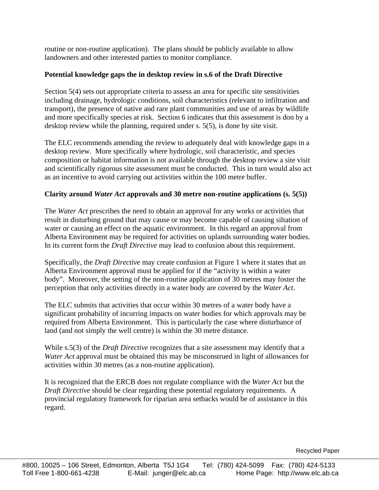routine or non-routine application). The plans should be publicly available to allow landowners and other interested parties to monitor compliance.

# **Potential knowledge gaps the in desktop review in s.6 of the Draft Directive**

Section 5(4) sets out appropriate criteria to assess an area for specific site sensitivities including drainage, hydrologic conditions, soil characteristics (relevant to infiltration and transport), the presence of native and rare plant communities and use of areas by wildlife and more specifically species at risk. Section 6 indicates that this assessment is don by a desktop review while the planning, required under s. 5(5), is done by site visit.

The ELC recommends amending the review to adequately deal with knowledge gaps in a desktop review. More specifically where hydrologic, soil characteristic, and species composition or habitat information is not available through the desktop review a site visit and scientifically rigorous site assessment must be conducted. This in turn would also act as an incentive to avoid carrying out activities within the 100 metre buffer.

## **Clarity around** *Water Act* **approvals and 30 metre non-routine applications (s. 5(5))**

The *Water Act* prescribes the need to obtain an approval for any works or activities that result in disturbing ground that may cause or may become capable of causing siltation of water or causing an effect on the aquatic environment. In this regard an approval from Alberta Environment may be required for activities on uplands surrounding water bodies. In its current form the *Draft Directive* may lead to confusion about this requirement.

Specifically, the *Draft Directive* may create confusion at Figure 1 where it states that an Alberta Environment approval must be applied for if the "activity is within a water body". Moreover, the setting of the non-routine application of 30 metres may foster the perception that only activities directly in a water body are covered by the *Water Act*.

The ELC submits that activities that occur within 30 metres of a water body have a significant probability of incurring impacts on water bodies for which approvals may be required from Alberta Environment. This is particularly the case where disturbance of land (and not simply the well centre) is within the 30 metre distance.

While s.5(3) of the *Draft Directive* recognizes that a site assessment may identify that a *Water Act* approval must be obtained this may be misconstrued in light of allowances for activities within 30 metres (as a non-routine application).

It is recognized that the ERCB does not regulate compliance with the *Water Act* but the *Draft Directive* should be clear regarding these potential regulatory requirements. A provincial regulatory framework for riparian area setbacks would be of assistance in this regard.

Recycled Paper